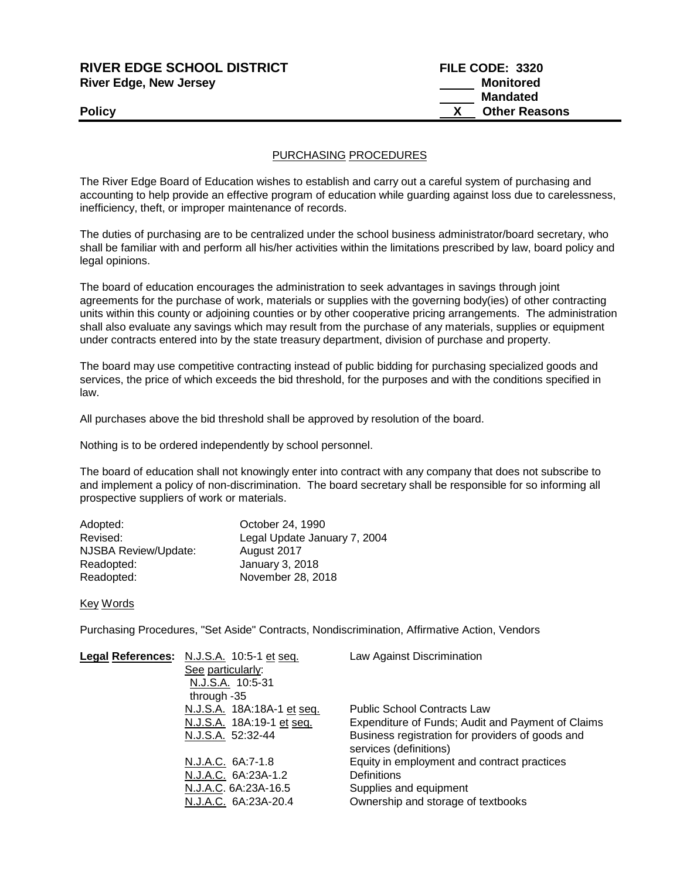| <b>RIVER EDGE SCHOOL DISTRICT</b> | FILE CODE: 3320      |
|-----------------------------------|----------------------|
| <b>River Edge, New Jersey</b>     | Monitored            |
|                                   | <b>Mandated</b>      |
| Policy                            | <b>Other Reasons</b> |
|                                   |                      |

## PURCHASING PROCEDURES

The River Edge Board of Education wishes to establish and carry out a careful system of purchasing and accounting to help provide an effective program of education while guarding against loss due to carelessness, inefficiency, theft, or improper maintenance of records.

The duties of purchasing are to be centralized under the school business administrator/board secretary, who shall be familiar with and perform all his/her activities within the limitations prescribed by law, board policy and legal opinions.

The board of education encourages the administration to seek advantages in savings through joint agreements for the purchase of work, materials or supplies with the governing body(ies) of other contracting units within this county or adjoining counties or by other cooperative pricing arrangements. The administration shall also evaluate any savings which may result from the purchase of any materials, supplies or equipment under contracts entered into by the state treasury department, division of purchase and property.

The board may use competitive contracting instead of public bidding for purchasing specialized goods and services, the price of which exceeds the bid threshold, for the purposes and with the conditions specified in law.

All purchases above the bid threshold shall be approved by resolution of the board.

Nothing is to be ordered independently by school personnel.

The board of education shall not knowingly enter into contract with any company that does not subscribe to and implement a policy of non-discrimination. The board secretary shall be responsible for so informing all prospective suppliers of work or materials.

| Adopted:             | October 24, 1990             |
|----------------------|------------------------------|
| Revised:             | Legal Update January 7, 2004 |
| NJSBA Review/Update: | August 2017                  |
| Readopted:           | January 3, 2018              |
| Readopted:           | November 28, 2018            |
|                      |                              |

Key Words

Purchasing Procedures, "Set Aside" Contracts, Nondiscrimination, Affirmative Action, Vendors

| Legal References: N.J.S.A. 10:5-1 et seq. | Law Against Discrimination                                                 |
|-------------------------------------------|----------------------------------------------------------------------------|
| See particularly:                         |                                                                            |
| N.J.S.A. 10:5-31                          |                                                                            |
| through -35                               |                                                                            |
| N.J.S.A. 18A:18A-1 et seq.                | <b>Public School Contracts Law</b>                                         |
| N.J.S.A. 18A:19-1 et seq.                 | Expenditure of Funds; Audit and Payment of Claims                          |
| N.J.S.A. 52:32-44                         | Business registration for providers of goods and<br>services (definitions) |
| N.J.A.C. 6A:7-1.8                         | Equity in employment and contract practices                                |
| N.J.A.C. 6A:23A-1.2                       | <b>Definitions</b>                                                         |
| N.J.A.C. 6A:23A-16.5                      | Supplies and equipment                                                     |
| N.J.A.C. 6A:23A-20.4                      | Ownership and storage of textbooks                                         |
|                                           |                                                                            |